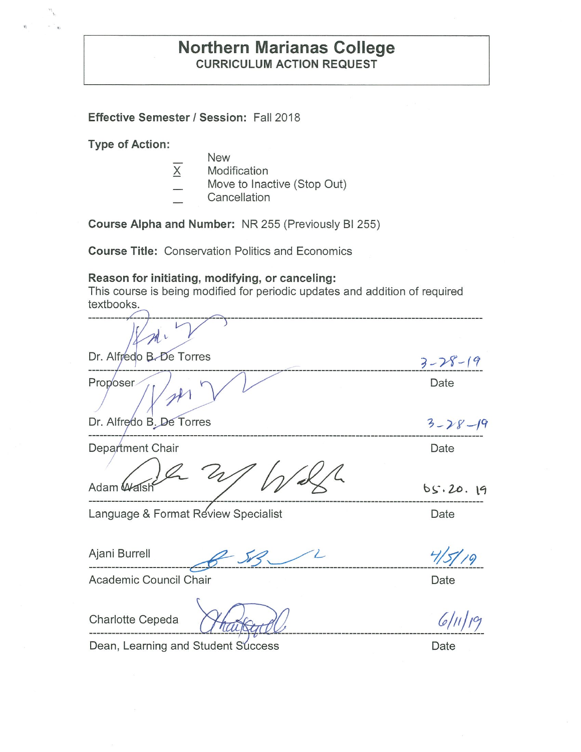# **Effective Semester/ Session:** Fall 2018

**Type of Action:** 

- New
- $X$  Modification
- Move to Inactive (Stop Out)
- **Cancellation**

**Course Alpha and Number:** NR 255 (Previously Bl 255)

**Course Title:** Conservation Politics and Economics

## **Reason for initiating, modifying, or canceling:**

This course is being modified for periodic updates and addition of required textbooks.

| Dr. Alfredo B. De Torres            | $3 - 28 - 19$ |
|-------------------------------------|---------------|
| Proposer                            | Date          |
| Dr. Alfredo B. De Torres            | $3 - 28 - 19$ |
| Department Chair                    | Date          |
|                                     |               |
| Adam W                              | 65.20.19      |
| Language & Format Review Specialist | Date          |
| Ajani Burrell                       |               |
| Academic Council Chair              | Date          |
|                                     |               |

Charlotte Cepeda

Dean, Learning and Student Success Date

 $6/11/9$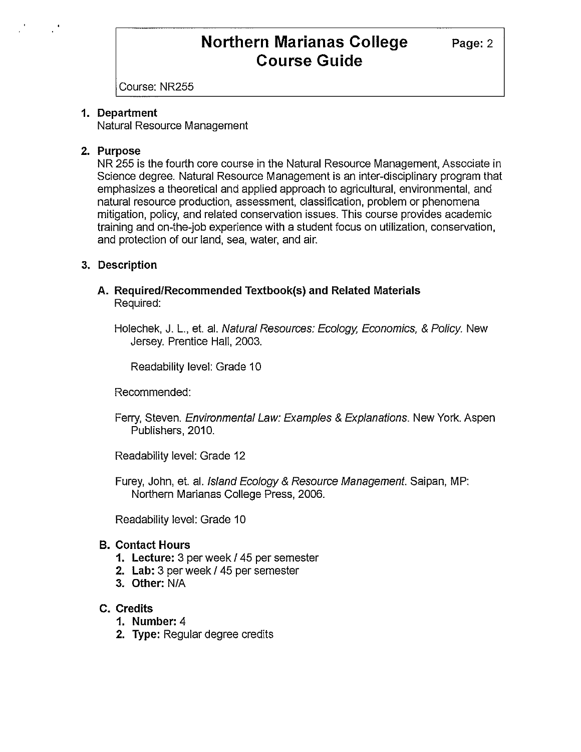Page: 2

Course: NR255

### **1. Department**

Natural Resource Management

### **2. Purpose**

NR 255 is the fourth core course in the Natural Resource Management, Associate in Science degree. Natural Resource Management is an inter-disciplinary program that emphasizes a theoretical and applied approach to agricultural, environmental, and natural resource production, assessment, classification, problem or phenomena mitigation, policy, and related conservation issues. This course provides academic training and on-the-job experience with a student focus on utilization, conservation, and protection of our land, sea, water, and air.

## **3. Description**

### **A. Required/Recommended Textbook(s) and Related Materials**  Required:

Holechek, J. L., et. al. Natural Resources: Ecology, Economics, & Policy. New Jersey. Prentice Hall, 2003.

Readability level: Grade 10

Recommended:

Ferry, Steven. Environmental Law: Examples & Explanations. New York. Aspen Publishers, 2010.

Readability level: Grade 12

Furey, John, et. al. Island Ecology & Resource Management. Saipan, MP: Northern Marianas College Press, 2006.

Readability level: Grade 10

## **B. Contact Hours**

- **1. Lecture:** 3 per week / 45 per semester
- **2. Lab:** 3 per week/ 45 per semester
- **3. Other:** N/A

## **C. Credits**

- **1. Number:** 4
- **2. Type:** Regular degree credits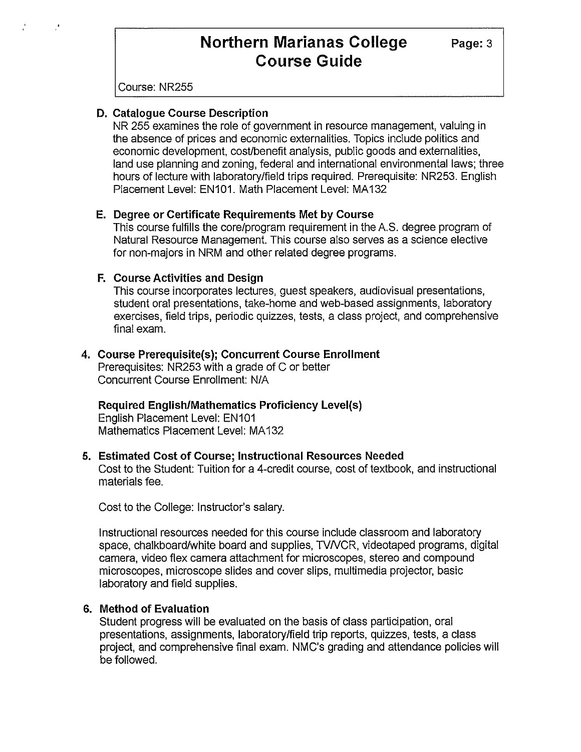**Page:3** 

Course: NR255

#### **D. Catalogue Course Description**

NR 255 examines the role of government in resource management, valuing in the absence of prices and economic externalities. Topics include politics and economic development, cost/benefit analysis, public goods and externalities, land use planning and zoning, federal and international environmental laws; three hours of lecture with laboratory/field trips required. Prerequisite: NR253. English Placement Level: EN101. Math Placement Level: MA132

#### **E. Degree or Certificate Requirements Met by Course**

This course fulfills the core/program requirement in the A.S. degree program of Natural Resource Management. This course also serves as a science elective for non-majors in NRM and other related degree programs.

#### **F. Course Activities and Design**

This course incorporates lectures, guest speakers, audiovisual presentations, student oral presentations, take-home and web-based assignments, laboratory exercises, field trips, periodic quizzes, tests, a class project, and comprehensive final exam.

#### **4. Course Prerequisite(s); Concurrent Course Enrollment**

Prerequisites: NR253 with a grade of C or better Concurrent Course Enrollment: N/A

## **Required English/Mathematics Proficiency Level(s)**

English Placement Level: EN101 Mathematics Placement Level: MA132

#### **5. Estimated Cost of Course; Instructional Resources Needed**

Cost to the Student: Tuition for a 4-credit course, cost of textbook, and instructional materials fee.

Cost to the College: Instructor's salary.

Instructional resources needed for this course include classroom and laboratory space, chalkboard/white board and supplies, TVNCR, videotaped programs, digital camera, video flex camera attachment for microscopes, stereo and compound microscopes, microscope slides and cover slips, multimedia projector, basic laboratory and field supplies.

## **6. Method of Evaluation**

Student progress will be evaluated on the basis of class participation, oral presentations, assignments, laboratory/field trip reports, quizzes, tests, a class project, and comprehensive final exam. NMC's grading and attendance policies will be followed.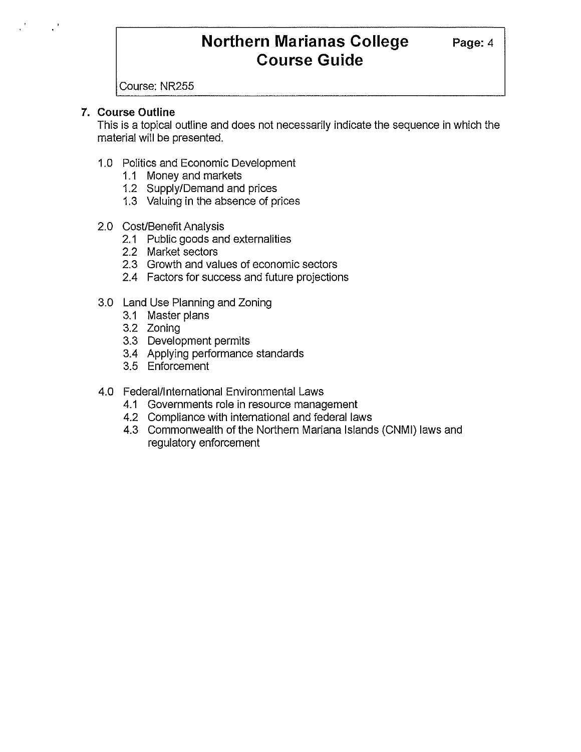Course: NR255

# **7. Course Outline**

This is a topical outline and does not necessarily indicate the sequence in which the material **will** be presented.

- 1.0 Politics and Economic Development
	- 1.1 Money and markets
	- 1.2 Supply/Demand and prices
	- 1.3 Valuing in the absence of prices
- 2.0 Cost/Benefit Analysis
	- 2.1 Public goods and externalities
	- 2.2 Market sectors
	- 2.3 Growth and values of economic sectors
	- 2.4 Factors for success and future projections
- 3.0 Land Use Planning and Zoning
	- 3.1 Master plans
	- 3.2 Zoning
	- 3.3 Development permits
	- 3.4 Applying performance standards
	- 3.5 Enforcement

## 4.0 Federal/International Environmental Laws

- 4.1 Governments role in resource management
- 4.2 Compliance with international and federal laws
- 4.3 Commonwealth of the Northern Mariana Islands (CNMI) laws and regulatory enforcement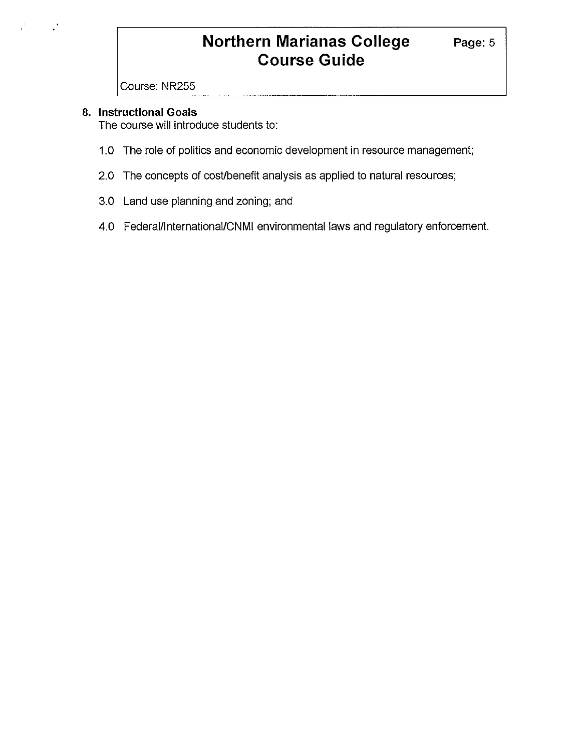Course: NR255

### **8. Instructional Goals**

The course will introduce students to:

- 1.0 The role of politics and economic development in resource management;
- 2.0 The concepts of cost/benefit analysis as applied to natural resources;
- 3.0 Land use planning and zoning; and
- 4.0 Federal/lnternational/CNMI environmental laws and regulatory enforcement.